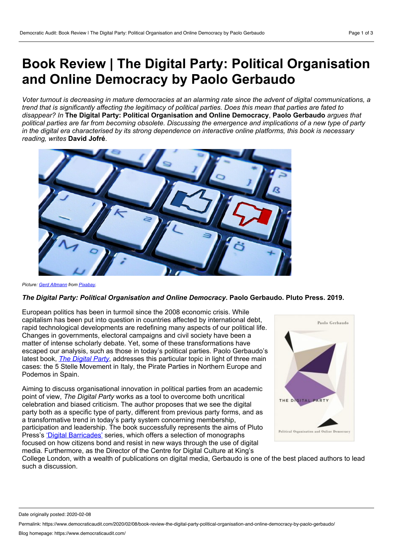## **Book Review | The Digital Party: Political Organisation and Online Democracy by Paolo Gerbaudo**

Voter turnout is decreasing in mature democracies at an alarming rate since the advent of digital communications, a trend that is significantly affecting the legitimacy of political parties. Does this mean that parties are fated to *disappear? In* **The Digital Party: Political Organisation and Online Democracy**, **Paolo Gerbaudo** *argues that* political parties are far from becoming obsolete. Discussing the emergence and implications of a new type of party in the digital era characterised by its strong dependence on interactive online platforms, this book is necessary *reading, writes* **David Jofré**.



*Picture: Gerd [Altmann](https://pixabay.com/users/geralt-9301/?utm_source=link-attribution&utm_medium=referral&utm_campaign=image&utm_content=597007) from [Pixabay](https://pixabay.com/?utm_source=link-attribution&utm_medium=referral&utm_campaign=image&utm_content=597007).*

## *The Digital Party: Political Organisation and Online Democracy***. Paolo Gerbaudo. Pluto Press. 2019.**

European politics has been in turmoil since the 2008 economic crisis. While capitalism has been put into question in countries affected by international debt, rapid technological developments are redefining many aspects of our political life. Changes in governments, electoral campaigns and civil society have been a matter of intense scholarly debate. Yet, some of these transformations have escaped our analysis, such as those in today's political parties. Paolo Gerbaudo's latest book, *The [Digital](https://www.plutobooks.com/9780745335797/the-digital-party/) Party*, addresses this particular topic in light of three main cases: the 5 Stelle Movement in Italy, the Pirate Parties in Northern Europe and Podemos in Spain.

Aiming to discuss organisational innovation in political parties from an academic point of view, *The Digital Party* works as a tool to overcome both uncritical celebration and biased criticism. The author proposes that we see the digital party both as a specific type of party, different from previous party forms, and as a transformative trend in today's party system concerning membership, participation and leadership. The book successfully represents the aims of Pluto Press's 'Digital [Barricades'](https://www.plutobooks.com/pluto-series/digital-barricades-interventions-in-digital-culture-and-politics/) series, which offers a selection of monographs focused on how citizens bond and resist in new ways through the use of digital media. Furthermore, as the Director of the Centre for Digital Culture at King's



College London, with a wealth of publications on digital media, Gerbaudo is one of the best placed authors to lead such a discussion.

Date originally posted: 2020-02-08

Permalink: https://www.democraticaudit.com/2020/02/08/book-review-the-digital-party-political-organisation-and-online-democracy-by-paolo-gerbaudo/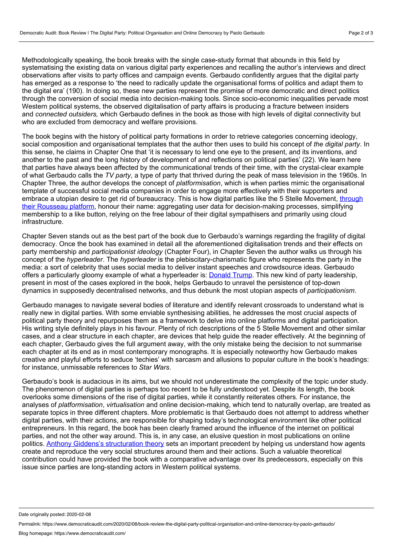Methodologically speaking, the book breaks with the single case-study format that abounds in this field by systematising the existing data on various digital party experiences and recalling the author's interviews and direct observations after visits to party offices and campaign events. Gerbaudo confidently argues that the digital party has emerged as a response to 'the need to radically update the organisational forms of politics and adapt them to the digital era' (190). In doing so, these new parties represent the promise of more democratic and direct politics through the conversion of social media into decision-making tools. Since socio-economic inequalities pervade most Western political systems, the observed digitalisation of party affairs is producing a fracture between insiders and *connected outsiders,* which Gerbaudo defines in the book as those with high levels of digital connectivity but who are excluded from democracy and welfare provisions.

The book begins with the history of political party formations in order to retrieve categories concerning ideology, social composition and organisational templates that the author then uses to build his concept of *the digital party*. In this sense, he claims in Chapter One that 'it is necessary to lend one eye to the present, and its inventions, and another to the past and the long history of development of and reflections on political parties' (22). We learn here that parties have always been affected by the communicational trends of their time, with the crystal-clear example of what Gerbaudo calls the *TV party*, a type of party that thrived during the peak of mass television in the 1960s. In Chapter Three, the author develops the concept of *platformisation*, which is when parties mimic the organisational template of successful social media companies in order to engage more effectively with their supporters and embrace a utopian desire to get rid of bureaucracy. This is how digital parties like the 5 Stelle Movement, through their Rousseau platform, honour their name: aggregating user data for [decision-making](https://www.politico.eu/article/davide-casaleggio-5stars-rousseau-platform-lashes-out-over-political-motivated-data-protection-fine/) processes, simplifying membership to a like button, relying on the free labour of their digital sympathisers and primarily using cloud infrastructure.

Chapter Seven stands out as the best part of the book due to Gerbaudo's warnings regarding the fragility of digital democracy. Once the book has examined in detail all the aforementioned digitalisation trends and their effects on party membership and *participationist ideology* (Chapter Four), in Chapter Seven the author walks us through his concept of the *hyperleader*. The *hyperleader* is the plebiscitary-charismatic figure who represents the party in the media: a sort of celebrity that uses social media to deliver instant speeches and crowdsource ideas. Gerbaudo offers a particularly gloomy example of what a hyperleader is: [Donald](https://www.theguardian.com/commentisfree/2019/jul/19/donald-trump-archetypal-far-right-charismatic-leader) Trump. This new kind of party leadership, present in most of the cases explored in the book, helps Gerbaudo to unravel the persistence of top-down dynamics in supposedly decentralised networks, and thus debunk the most utopian aspects of *participationism*.

Gerbaudo manages to navigate several bodies of literature and identify relevant crossroads to understand what is really new in digital parties. With some enviable synthesising abilities, he addresses the most crucial aspects of political party theory and repurposes them as a framework to delve into online platforms and digital participation. His writing style definitely plays in his favour. Plenty of rich descriptions of the 5 Stelle Movement and other similar cases, and a clear structure in each chapter, are devices that help guide the reader effectively. At the beginning of each chapter, Gerbaudo gives the full argument away, with the only mistake being the decision to not summarise each chapter at its end as in most contemporary monographs. It is especially noteworthy how Gerbaudo makes creative and playful efforts to seduce 'techies' with sarcasm and allusions to popular culture in the book's headings: for instance, unmissable references to *Star Wars*.

Gerbaudo's book is audacious in its aims, but we should not underestimate the complexity of the topic under study. The phenomenon of digital parties is perhaps too recent to be fully understood yet. Despite its length, the book overlooks some dimensions of the rise of digital parties, while it constantly reiterates others. For instance, the analyses of *platformisation*, *virtualisation* and online decision-making, which tend to naturally overlap, are treated as separate topics in three different chapters. More problematic is that Gerbaudo does not attempt to address whether digital parties, with their actions, are responsible for shaping today's technological environment like other political entrepreneurs. In this regard, the book has been clearly framed around the influence of the internet on political parties, and not the other way around. This is, in any case, an elusive question in most publications on online politics. Anthony Giddens's [structuration](https://www.ucpress.edu/book/9780520057289/the-constitution-of-society) theory sets an important precedent by helping us understand how agents create and reproduce the very social structures around them and their actions. Such a valuable theoretical contribution could have provided the book with a comparative advantage over its predecessors, especially on this issue since parties are long-standing actors in Western political systems.

Date originally posted: 2020-02-08

Permalink: https://www.democraticaudit.com/2020/02/08/book-review-the-digital-party-political-organisation-and-online-democracy-by-paolo-gerbaudo/